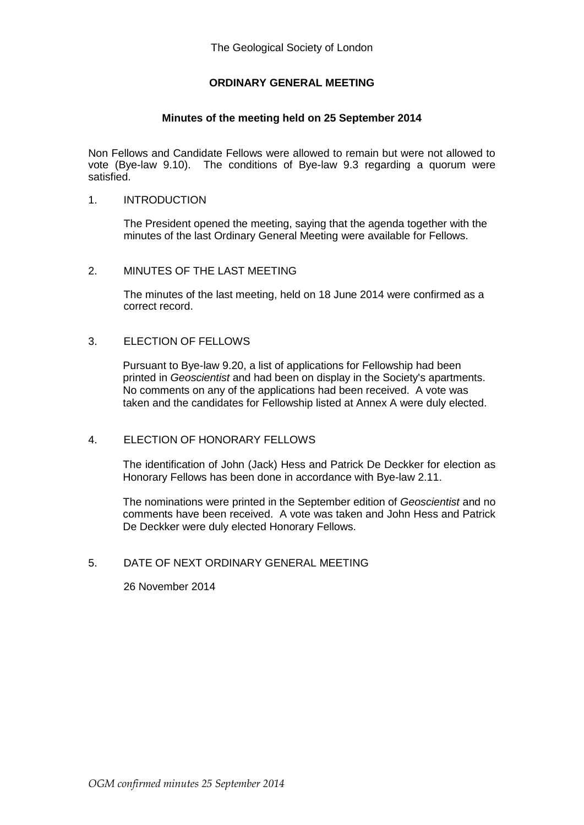# **ORDINARY GENERAL MEETING**

### **Minutes of the meeting held on 25 September 2014**

Non Fellows and Candidate Fellows were allowed to remain but were not allowed to vote (Bye-law 9.10). The conditions of Bye-law 9.3 regarding a quorum were satisfied.

## 1. INTRODUCTION

The President opened the meeting, saying that the agenda together with the minutes of the last Ordinary General Meeting were available for Fellows.

#### 2. MINUTES OF THE LAST MEETING

The minutes of the last meeting, held on 18 June 2014 were confirmed as a correct record.

### 3. ELECTION OF FELLOWS

Pursuant to Bye-law 9.20, a list of applications for Fellowship had been printed in *Geoscientist* and had been on display in the Society's apartments. No comments on any of the applications had been received. A vote was taken and the candidates for Fellowship listed at Annex A were duly elected.

#### 4. ELECTION OF HONORARY FELLOWS

The identification of John (Jack) Hess and Patrick De Deckker for election as Honorary Fellows has been done in accordance with Bye-law 2.11.

The nominations were printed in the September edition of *Geoscientist* and no comments have been received. A vote was taken and John Hess and Patrick De Deckker were duly elected Honorary Fellows.

## 5. DATE OF NEXT ORDINARY GENERAL MEETING

26 November 2014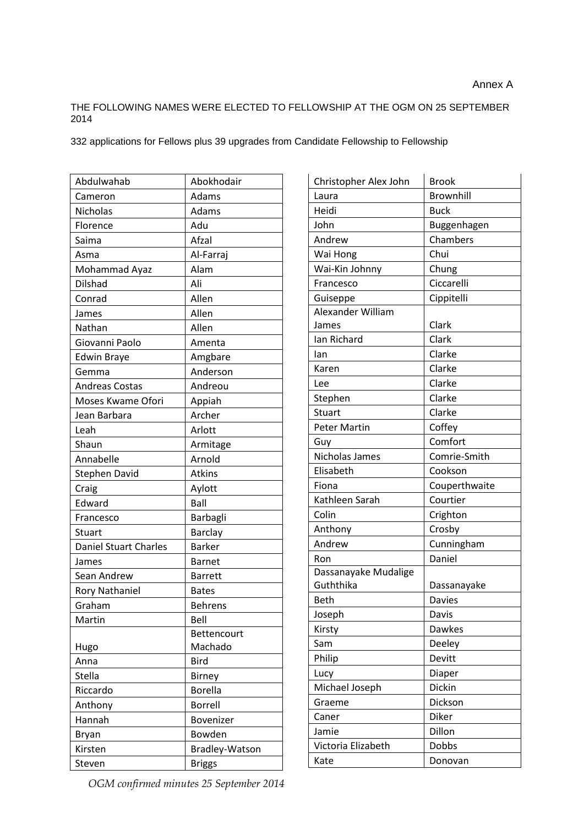### THE FOLLOWING NAMES WERE ELECTED TO FELLOWSHIP AT THE OGM ON 25 SEPTEMBER 2014

332 applications for Fellows plus 39 upgrades from Candidate Fellowship to Fellowship

| Abdulwahab                   | Abokhodair         |
|------------------------------|--------------------|
| Cameron                      | Adams              |
| Nicholas                     | Adams              |
| Florence                     | Adu                |
| Saima                        | Afzal              |
| Asma                         | Al-Farraj          |
| Mohammad Ayaz                | Alam               |
| <b>Dilshad</b>               | Ali                |
| Conrad                       | Allen              |
| James                        | Allen              |
| Nathan                       | Allen              |
| Giovanni Paolo               | Amenta             |
| <b>Edwin Braye</b>           | Amgbare            |
| Gemma                        | Anderson           |
| <b>Andreas Costas</b>        | Andreou            |
| Moses Kwame Ofori            | Appiah             |
| Jean Barbara                 | Archer             |
| Leah                         | Arlott             |
| Shaun                        | Armitage           |
| Annabelle                    | Arnold             |
| <b>Stephen David</b>         | Atkins             |
| Craig                        | Aylott             |
| Edward                       | Ball               |
| Francesco                    | Barbagli           |
| <b>Stuart</b>                | Barclay            |
| <b>Daniel Stuart Charles</b> | <b>Barker</b>      |
| James                        | <b>Barnet</b>      |
| Sean Andrew                  | <b>Barrett</b>     |
| <b>Rory Nathaniel</b>        | <b>Bates</b>       |
| Graham                       | <b>Behrens</b>     |
| Martin                       | Bell               |
|                              | <b>Bettencourt</b> |
| Hugo                         | Machado            |
| Anna                         | Bird               |
| <b>Stella</b>                | <b>Birney</b>      |
| Riccardo                     | <b>Borella</b>     |
| Anthony                      | <b>Borrell</b>     |
| Hannah                       | Bovenizer          |
| <b>Bryan</b>                 | Bowden             |
| Kirsten                      | Bradley-Watson     |
| Steven                       | <b>Briggs</b>      |

| Christopher Alex John | <b>Brook</b>  |
|-----------------------|---------------|
| Laura                 | Brownhill     |
| Heidi                 | <b>Buck</b>   |
| John                  | Buggenhagen   |
| Andrew                | Chambers      |
| Wai Hong              | Chui          |
| Wai-Kin Johnny        | Chung         |
| Francesco             | Ciccarelli    |
| Guiseppe              | Cippitelli    |
| Alexander William     |               |
| James                 | Clark         |
| Ian Richard           | Clark         |
| lan                   | Clarke        |
| Karen                 | Clarke        |
| Lee                   | Clarke        |
| Stephen               | Clarke        |
| Stuart                | Clarke        |
| <b>Peter Martin</b>   | Coffey        |
| Guy                   | Comfort       |
| Nicholas James        | Comrie-Smith  |
| Elisabeth             | Cookson       |
| Fiona                 | Couperthwaite |
| Kathleen Sarah        | Courtier      |
| Colin                 | Crighton      |
| Anthony               | Crosby        |
| Andrew                | Cunningham    |
| Ron                   | Daniel        |
| Dassanayake Mudalige  |               |
| Guththika             | Dassanayake   |
| <b>Beth</b>           | <b>Davies</b> |
| Joseph                | Davis         |
| Kirsty                | Dawkes        |
| Sam                   | Deeley        |
| Philip                | Devitt        |
| Lucy                  | Diaper        |
| Michael Joseph        | <b>Dickin</b> |
| Graeme                | Dickson       |
| Caner                 | Diker         |
| Jamie                 | Dillon        |
| Victoria Elizabeth    | Dobbs         |
| Kate                  | Donovan       |

*OGM confirmed minutes 25 September 2014*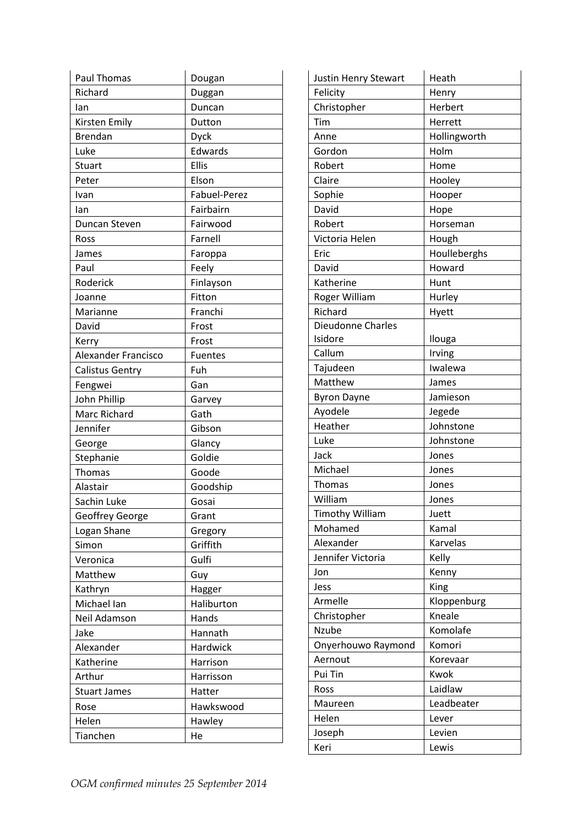| Paul Thomas                | Dougan       |
|----------------------------|--------------|
| Richard                    | Duggan       |
| Ian                        | Duncan       |
| Kirsten Emily              | Dutton       |
| <b>Brendan</b>             | <b>Dyck</b>  |
| Luke                       | Edwards      |
| Stuart                     | Ellis        |
| Peter                      | Elson        |
| Ivan                       | Fabuel-Perez |
| Ian                        | Fairbairn    |
| Duncan Steven              | Fairwood     |
| Ross                       | Farnell      |
| James                      | Faroppa      |
| Paul                       | Feely        |
| Roderick                   | Finlayson    |
| Joanne                     | Fitton       |
| Marianne                   | Franchi      |
| David                      | Frost        |
| Kerry                      | Frost        |
| <b>Alexander Francisco</b> | Fuentes      |
| <b>Calistus Gentry</b>     | Fuh          |
| Fengwei                    | Gan          |
| John Phillip               | Garvey       |
| Marc Richard               | Gath         |
| Jennifer                   | Gibson       |
| George                     | Glancy       |
| Stephanie                  | Goldie       |
| <b>Thomas</b>              | Goode        |
| Alastair                   | Goodship     |
| Sachin Luke                | Gosai        |
| Geoffrey George            | Grant        |
| Logan Shane                | Gregory      |
| Simon                      | Griffith     |
| Veronica                   | Gulfi        |
| Matthew                    | Guy          |
| Kathryn                    | Hagger       |
| Michael Ian                | Haliburton   |
| Neil Adamson               | Hands        |
| Jake                       | Hannath      |
| Alexander                  | Hardwick     |
| Katherine                  | Harrison     |
| Arthur                     | Harrisson    |
| <b>Stuart James</b>        | Hatter       |
| Rose                       | Hawkswood    |
| Helen                      | Hawley       |
| Tianchen                   | He           |

| Justin Henry Stewart     | Heath        |
|--------------------------|--------------|
| Felicity                 | Henry        |
| Christopher              | Herbert      |
| Tim                      | Herrett      |
| Anne                     | Hollingworth |
| Gordon                   | Holm         |
| Robert                   | Home         |
| Claire                   | Hooley       |
| Sophie                   | Hooper       |
| David                    | Hope         |
| Robert                   | Horseman     |
| Victoria Helen           | Hough        |
| Eric                     | Houlleberghs |
| David                    | Howard       |
| Katherine                | Hunt         |
| Roger William            | Hurley       |
| Richard                  | Hyett        |
| <b>Dieudonne Charles</b> |              |
| Isidore                  | Ilouga       |
| Callum                   | Irving       |
| Tajudeen                 | Iwalewa      |
| Matthew                  | James        |
| <b>Byron Dayne</b>       | Jamieson     |
| Ayodele                  | Jegede       |
| Heather                  | Johnstone    |
| Luke                     | Johnstone    |
| Jack                     | Jones        |
| Michael                  | Jones        |
| Thomas                   | Jones        |
| William                  | Jones        |
| <b>Timothy William</b>   | Juett        |
| Mohamed                  | Kamal        |
| Alexander                | Karvelas     |
| Jennifer Victoria        | Kelly        |
| Jon                      | Kenny        |
| Jess                     | King         |
| Armelle                  | Kloppenburg  |
| Christopher              | Kneale       |
| Nzube                    | Komolafe     |
| Onyerhouwo Raymond       | Komori       |
| Aernout                  | Korevaar     |
| Pui Tin                  | Kwok         |
| Ross                     | Laidlaw      |
| Maureen                  | Leadbeater   |
| Helen                    | Lever        |
| Joseph                   | Levien       |
| Keri                     | Lewis        |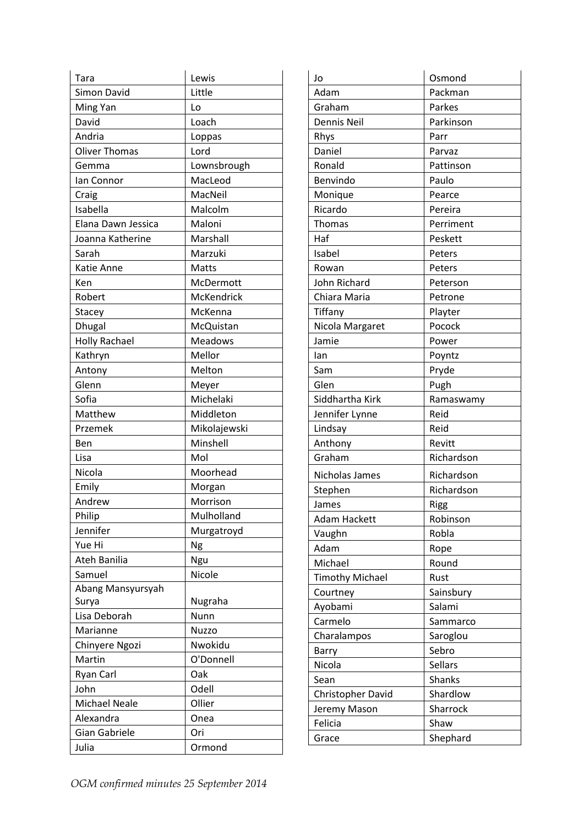| Tara                 | Lewis          |
|----------------------|----------------|
| Simon David          | Little         |
| Ming Yan             | Lo             |
| David                | Loach          |
| Andria               | Loppas         |
| <b>Oliver Thomas</b> | Lord           |
| Gemma                | Lownsbrough    |
| Ian Connor           | MacLeod        |
| Craig                | MacNeil        |
| Isabella             | Malcolm        |
| Elana Dawn Jessica   | Maloni         |
| Joanna Katherine     | Marshall       |
| Sarah                | Marzuki        |
| Katie Anne           | Matts          |
| Ken                  | McDermott      |
| Robert               | McKendrick     |
| Stacey               | McKenna        |
| <b>Dhugal</b>        | McQuistan      |
| <b>Holly Rachael</b> | <b>Meadows</b> |
| Kathryn              | Mellor         |
| Antony               | Melton         |
| Glenn                | Meyer          |
| Sofia                | Michelaki      |
| Matthew              | Middleton      |
| Przemek              | Mikolajewski   |
| Ben                  | Minshell       |
| Lisa                 | Mol            |
| Nicola               | Moorhead       |
| Emily                | Morgan         |
| Andrew               | Morrison       |
| Philip               | Mulholland     |
| Jennifer             | Murgatroyd     |
| Yue Hi               | Ng             |
| Ateh Banilia         | Ngu            |
| Samuel               | Nicole         |
| Abang Mansyursyah    |                |
| Surya                | Nugraha        |
| Lisa Deborah         | <b>Nunn</b>    |
| Marianne             | Nuzzo          |
| Chinyere Ngozi       | Nwokidu        |
| Martin               | O'Donnell      |
| Ryan Carl            | Oak            |
| John                 | Odell          |
| <b>Michael Neale</b> | Ollier         |
| Alexandra            | Onea           |
| <b>Gian Gabriele</b> | Ori            |
| Julia                | Ormond         |

| Jo                     | Osmond        |
|------------------------|---------------|
| Adam                   | Packman       |
| Graham                 | Parkes        |
| Dennis Neil            | Parkinson     |
| Rhys                   | Parr          |
| Daniel                 | Parvaz        |
| Ronald                 | Pattinson     |
| Benvindo               | Paulo         |
| Monique                | Pearce        |
| Ricardo                | Pereira       |
| <b>Thomas</b>          | Perriment     |
| Haf                    | Peskett       |
| Isabel                 | Peters        |
| Rowan                  | Peters        |
| John Richard           | Peterson      |
| Chiara Maria           | Petrone       |
| Tiffany                | Playter       |
| Nicola Margaret        | Pocock        |
| Jamie                  | Power         |
| lan                    | Poyntz        |
| Sam                    | Pryde         |
| Glen                   | Pugh          |
| Siddhartha Kirk        | Ramaswamy     |
| Jennifer Lynne         | Reid          |
| Lindsay                | Reid          |
| Anthony                | Revitt        |
| Graham                 | Richardson    |
| Nicholas James         | Richardson    |
| Stephen                | Richardson    |
| James                  | <b>Rigg</b>   |
| Adam Hackett           | Robinson      |
| Vaughn                 | Robla         |
| Adam                   | Rope          |
| Michael                | Round         |
| <b>Timothy Michael</b> | Rust          |
| Courtney               | Sainsbury     |
| Ayobami                | Salami        |
| Carmelo                | Sammarco      |
| Charalampos            | Saroglou      |
| Barry                  | Sebro         |
| Nicola                 | Sellars       |
| Sean                   | <b>Shanks</b> |
| Christopher David      | Shardlow      |
| Jeremy Mason           | Sharrock      |
| Felicia                | Shaw          |
| Grace                  | Shephard      |
|                        |               |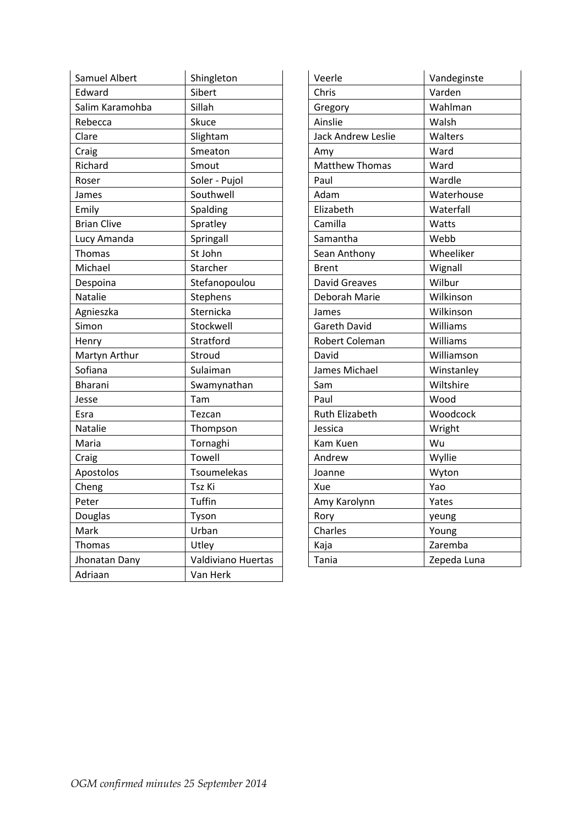| Samuel Albert      | Shingleton         |
|--------------------|--------------------|
| Edward             | Sibert             |
| Salim Karamohba    | Sillah             |
| Rebecca            | Skuce              |
| Clare              | Slightam           |
| Craig              | Smeaton            |
| Richard            | Smout              |
| Roser              | Soler - Pujol      |
| James              | Southwell          |
| Emily              | Spalding           |
| <b>Brian Clive</b> | Spratley           |
| Lucy Amanda        | Springall          |
| Thomas             | St John            |
| Michael            | Starcher           |
| Despoina           | Stefanopoulou      |
| Natalie            | Stephens           |
| Agnieszka          | Sternicka          |
| Simon              | Stockwell          |
| Henry              | Stratford          |
| Martyn Arthur      | Stroud             |
| Sofiana            | Sulaiman           |
| Bharani            | Swamynathan        |
| Jesse              | Tam                |
| Esra               | Tezcan             |
| Natalie            | Thompson           |
| Maria              | Tornaghi           |
| Craig              | Towell             |
| Apostolos          | Tsoumelekas        |
| Cheng              | Tsz Ki             |
| Peter              | Tuffin             |
| Douglas            | Tyson              |
| Mark               | Urban              |
| Thomas             | Utley              |
| Jhonatan Dany      | Valdiviano Huertas |
| Adriaan            | Van Herk           |

| Veerle                    | Vandeginste |
|---------------------------|-------------|
| Chris                     | Varden      |
| Gregory                   | Wahlman     |
| Ainslie                   | Walsh       |
| <b>Jack Andrew Leslie</b> | Walters     |
| Amy                       | Ward        |
| <b>Matthew Thomas</b>     | Ward        |
| Paul                      | Wardle      |
| Adam                      | Waterhouse  |
| Elizabeth                 | Waterfall   |
| Camilla                   | Watts       |
| Samantha                  | Webb        |
| Sean Anthony              | Wheeliker   |
| <b>Brent</b>              | Wignall     |
| <b>David Greaves</b>      | Wilbur      |
| Deborah Marie             | Wilkinson   |
| James                     | Wilkinson   |
| <b>Gareth David</b>       | Williams    |
| Robert Coleman            | Williams    |
| David                     | Williamson  |
| James Michael             | Winstanley  |
| Sam                       | Wiltshire   |
| Paul                      | Wood        |
| <b>Ruth Elizabeth</b>     | Woodcock    |
| Jessica                   | Wright      |
| Kam Kuen                  | Wu          |
| Andrew                    | Wyllie      |
| Joanne                    | Wyton       |
| Xue                       | Yao         |
| Amy Karolynn              | Yates       |
| Rory                      | yeung       |
| Charles                   | Young       |
| Kaja                      | Zaremba     |
| Tania                     | Zepeda Luna |